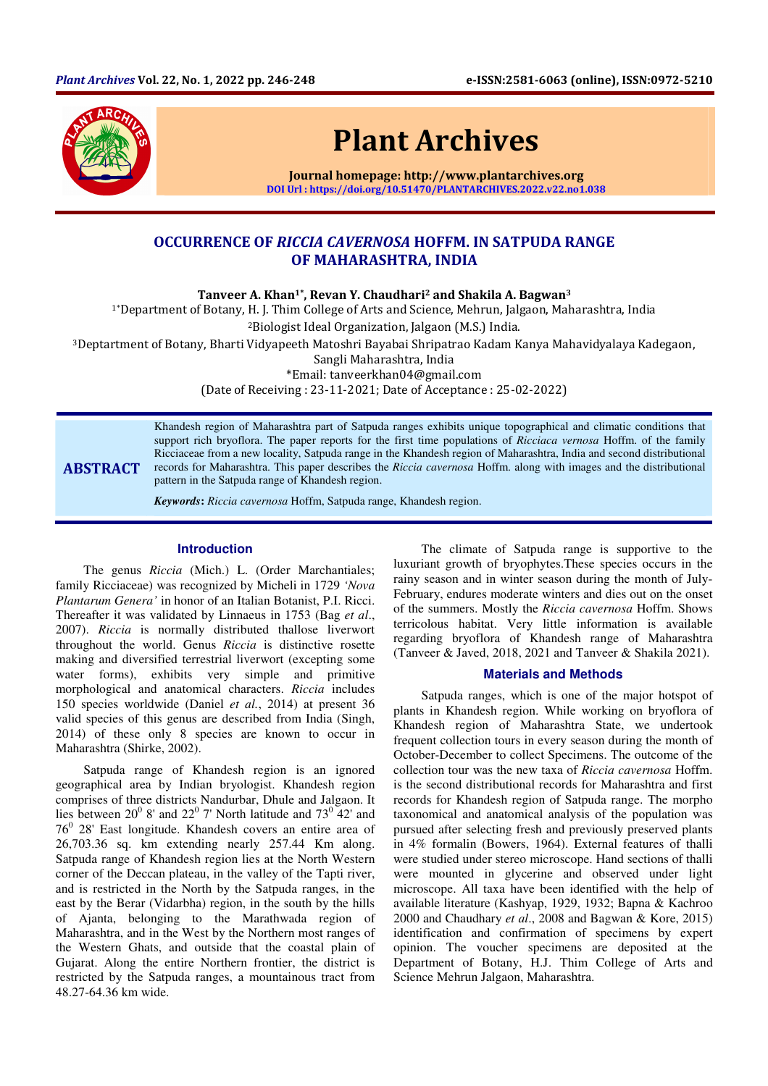

# Plant Archives

Journal homepage: http://www.plantarchives.org DOI Url : https://doi.org/10.51470/PLANTARCHIVES.2022.v22.no1.038

# OCCURRENCE OF RICCIA CAVERNOSA HOFFM. IN SATPUDA RANGE OF MAHARASHTRA, INDIA

Tanveer A. Khan<sup>1\*</sup>, Revan Y. Chaudhari<sup>2</sup> and Shakila A. Bagwan<sup>3</sup>

1\*Department of Botany, H. J. Thim College of Arts and Science, Mehrun, Jalgaon, Maharashtra, India

<sup>2</sup>Biologist Ideal Organization, Jalgaon (M.S.) India.

<sup>3</sup>Deptartment of Botany, Bharti Vidyapeeth Matoshri Bayabai Shripatrao Kadam Kanya Mahavidyalaya Kadegaon,

Sangli Maharashtra, India

\*Email: tanveerkhan04@gmail.com

(Date of Receiving : 23-11-2021; Date of Acceptance : 25-02-2022)

## ABSTRACT

Khandesh region of Maharashtra part of Satpuda ranges exhibits unique topographical and climatic conditions that support rich bryoflora. The paper reports for the first time populations of *Ricciaca vernosa* Hoffm. of the family Ricciaceae from a new locality, Satpuda range in the Khandesh region of Maharashtra, India and second distributional records for Maharashtra. This paper describes the *Riccia cavernosa* Hoffm. along with images and the distributional pattern in the Satpuda range of Khandesh region.

*Keywords***:** *Riccia cavernosa* Hoffm, Satpuda range, Khandesh region.

### **Introduction**

The genus *Riccia* (Mich.) L. (Order Marchantiales; family Ricciaceae) was recognized by Micheli in 1729 *'Nova Plantarum Genera'* in honor of an Italian Botanist, P.I. Ricci. Thereafter it was validated by Linnaeus in 1753 (Bag *et al*., 2007). *Riccia* is normally distributed thallose liverwort throughout the world. Genus *Riccia* is distinctive rosette making and diversified terrestrial liverwort (excepting some water forms), exhibits very simple and primitive morphological and anatomical characters. *Riccia* includes 150 species worldwide (Daniel *et al.*, 2014) at present 36 valid species of this genus are described from India (Singh, 2014) of these only 8 species are known to occur in Maharashtra (Shirke, 2002).

Satpuda range of Khandesh region is an ignored geographical area by Indian bryologist. Khandesh region comprises of three districts Nandurbar, Dhule and Jalgaon. It lies between  $20^{\circ}$  8' and  $22^{\circ}$  7' North latitude and  $73^{\circ}$  42' and  $76<sup>0</sup>$  28' East longitude. Khandesh covers an entire area of 26,703.36 sq. km extending nearly 257.44 Km along. Satpuda range of Khandesh region lies at the North Western corner of the Deccan plateau, in the valley of the Tapti river, and is restricted in the North by the Satpuda ranges, in the east by the Berar (Vidarbha) region, in the south by the hills of Ajanta, belonging to the Marathwada region of Maharashtra, and in the West by the Northern most ranges of the Western Ghats, and outside that the coastal plain of Gujarat. Along the entire Northern frontier, the district is restricted by the Satpuda ranges, a mountainous tract from 48.27-64.36 km wide.

The climate of Satpuda range is supportive to the luxuriant growth of bryophytes.These species occurs in the rainy season and in winter season during the month of July-February, endures moderate winters and dies out on the onset of the summers. Mostly the *Riccia cavernosa* Hoffm. Shows terricolous habitat. Very little information is available regarding bryoflora of Khandesh range of Maharashtra (Tanveer & Javed, 2018, 2021 and Tanveer & Shakila 2021).

#### **Materials and Methods**

Satpuda ranges, which is one of the major hotspot of plants in Khandesh region. While working on bryoflora of Khandesh region of Maharashtra State, we undertook frequent collection tours in every season during the month of October-December to collect Specimens. The outcome of the collection tour was the new taxa of *Riccia cavernosa* Hoffm. is the second distributional records for Maharashtra and first records for Khandesh region of Satpuda range. The morpho taxonomical and anatomical analysis of the population was pursued after selecting fresh and previously preserved plants in 4% formalin (Bowers, 1964). External features of thalli were studied under stereo microscope. Hand sections of thalli were mounted in glycerine and observed under light microscope. All taxa have been identified with the help of available literature (Kashyap, 1929, 1932; Bapna & Kachroo 2000 and Chaudhary *et al*., 2008 and Bagwan & Kore, 2015) identification and confirmation of specimens by expert opinion. The voucher specimens are deposited at the Department of Botany, H.J. Thim College of Arts and Science Mehrun Jalgaon, Maharashtra.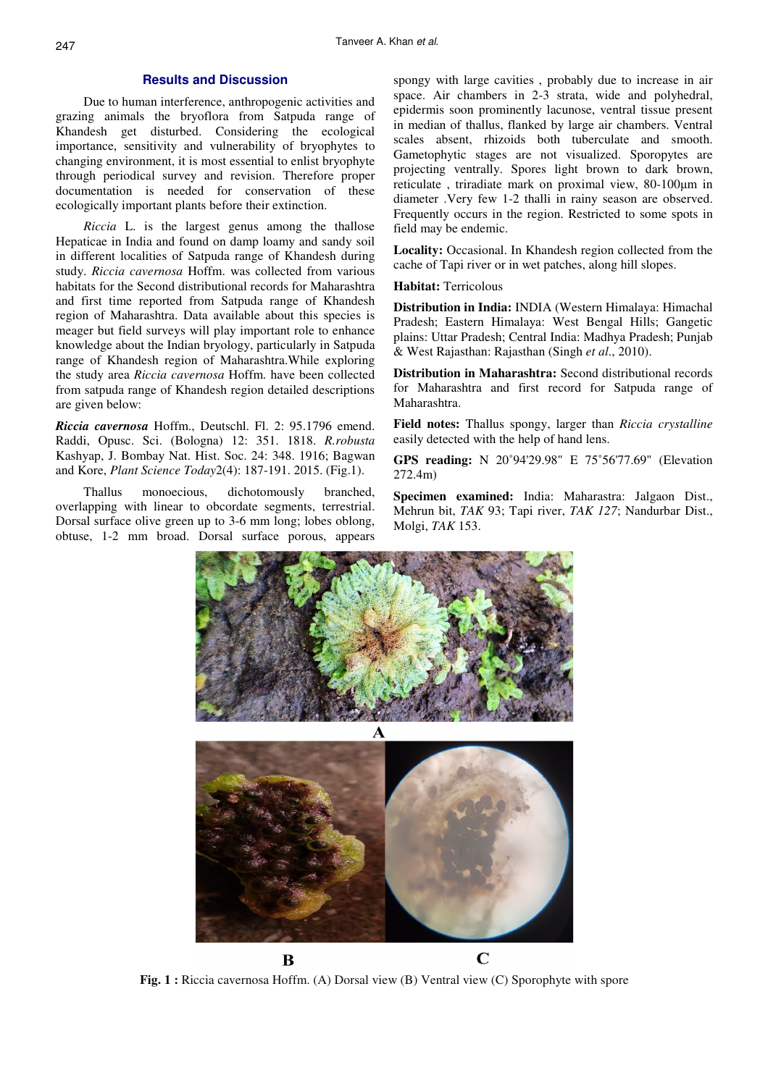#### **Results and Discussion**

Due to human interference, anthropogenic activities and grazing animals the bryoflora from Satpuda range of Khandesh get disturbed. Considering the ecological importance, sensitivity and vulnerability of bryophytes to changing environment, it is most essential to enlist bryophyte through periodical survey and revision. Therefore proper documentation is needed for conservation of these ecologically important plants before their extinction.

*Riccia* L. is the largest genus among the thallose Hepaticae in India and found on damp loamy and sandy soil in different localities of Satpuda range of Khandesh during study. *Riccia cavernosa* Hoffm. was collected from various habitats for the Second distributional records for Maharashtra and first time reported from Satpuda range of Khandesh region of Maharashtra. Data available about this species is meager but field surveys will play important role to enhance knowledge about the Indian bryology, particularly in Satpuda range of Khandesh region of Maharashtra.While exploring the study area *Riccia cavernosa* Hoffm. have been collected from satpuda range of Khandesh region detailed descriptions are given below:

*Riccia cavernosa* Hoffm., Deutschl. Fl. 2: 95.1796 emend. Raddi, Opusc. Sci. (Bologna) 12: 351. 1818. *R.robusta*  Kashyap, J. Bombay Nat. Hist. Soc. 24: 348. 1916; Bagwan and Kore, *Plant Science Today*2(4): 187-191. 2015. (Fig.1).

Thallus monoecious, dichotomously branched, overlapping with linear to obcordate segments, terrestrial. Dorsal surface olive green up to 3-6 mm long; lobes oblong, obtuse, 1-2 mm broad. Dorsal surface porous, appears spongy with large cavities , probably due to increase in air space. Air chambers in 2-3 strata, wide and polyhedral, epidermis soon prominently lacunose, ventral tissue present in median of thallus, flanked by large air chambers. Ventral scales absent, rhizoids both tuberculate and smooth. Gametophytic stages are not visualized. Sporopytes are projecting ventrally. Spores light brown to dark brown, reticulate , triradiate mark on proximal view, 80-100µm in diameter .Very few 1-2 thalli in rainy season are observed. Frequently occurs in the region. Restricted to some spots in field may be endemic.

**Locality:** Occasional. In Khandesh region collected from the cache of Tapi river or in wet patches, along hill slopes.

#### **Habitat:** Terricolous

**Distribution in India:** INDIA (Western Himalaya: Himachal Pradesh; Eastern Himalaya: West Bengal Hills; Gangetic plains: Uttar Pradesh; Central India: Madhya Pradesh; Punjab & West Rajasthan: Rajasthan (Singh *et al*., 2010).

**Distribution in Maharashtra:** Second distributional records for Maharashtra and first record for Satpuda range of Maharashtra.

**Field notes:** Thallus spongy, larger than *Riccia crystalline*  easily detected with the help of hand lens.

**GPS reading:** N 20˚94'29.98" E 75˚56'77.69" (Elevation 272.4m)

**Specimen examined:** India: Maharastra: Jalgaon Dist., Mehrun bit, *TAK* 93; Tapi river, *TAK 127*; Nandurbar Dist., Molgi, *TAK* 153.







**Fig. 1 :** Riccia cavernosa Hoffm. (A) Dorsal view (B) Ventral view (C) Sporophyte with spore